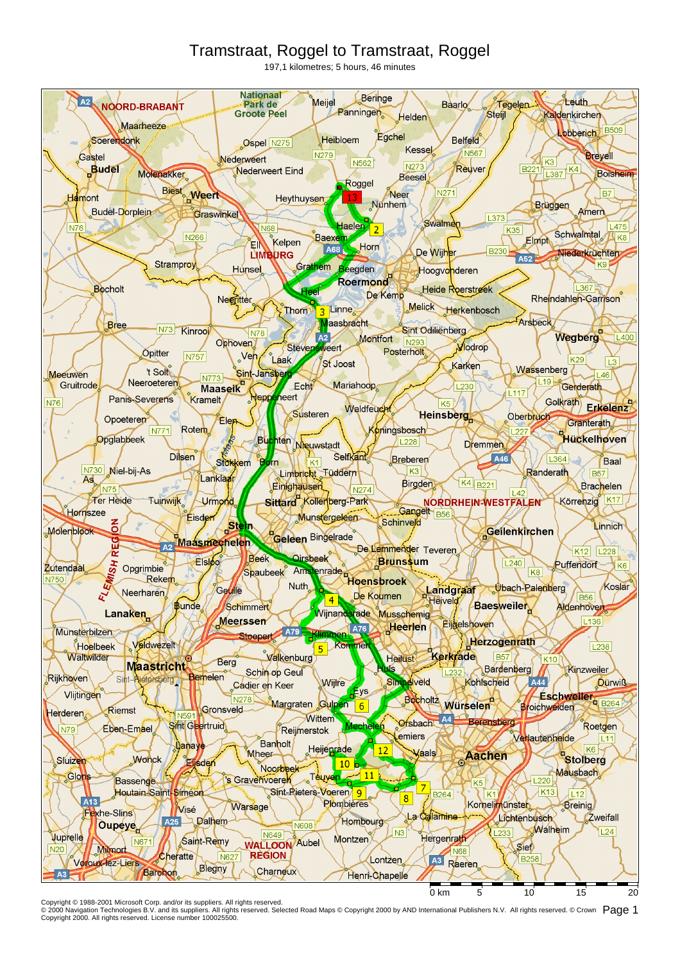## Tramstraat, Roggel to Tramstraat, Roggel

197,1 kilometres; 5 hours, 46 minutes



Copyright © 1988-2001 Microsoft Corp. and/or its suppliers. All rights reserved.<br>© 2000 Navigation Technologies B.V. and its suppliers. All rights reserved. Selected Road Maps © Copyright 2000 by AND International Publish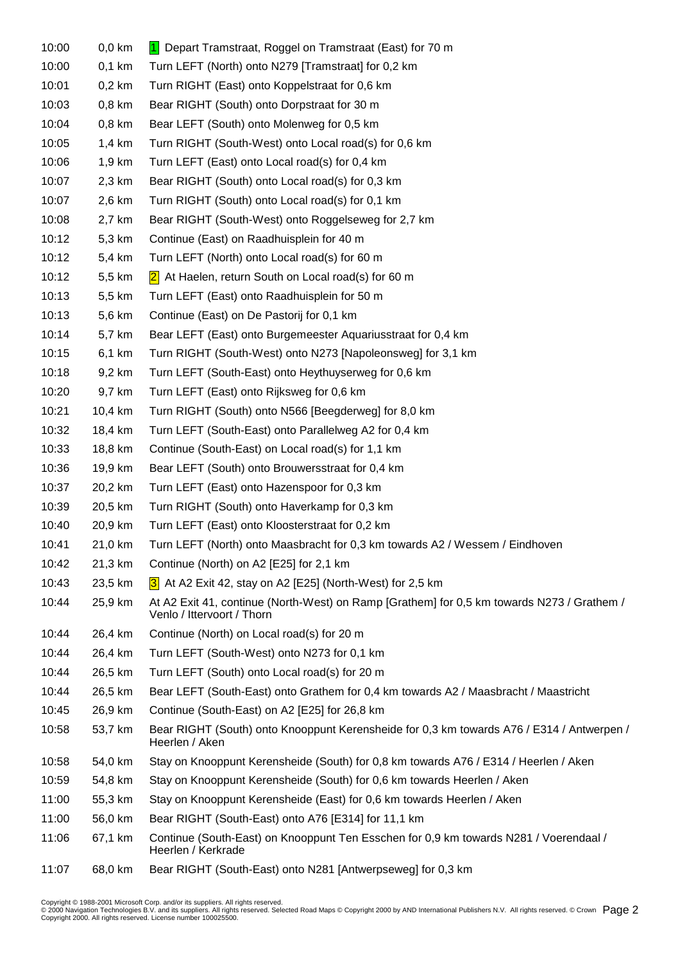| 10:00 | $0,0$ km | 1 Depart Tramstraat, Roggel on Tramstraat (East) for 70 m                                                                |  |  |  |  |
|-------|----------|--------------------------------------------------------------------------------------------------------------------------|--|--|--|--|
| 10:00 | $0,1$ km | Turn LEFT (North) onto N279 [Tramstraat] for 0,2 km                                                                      |  |  |  |  |
| 10:01 | $0,2$ km | Turn RIGHT (East) onto Koppelstraat for 0,6 km                                                                           |  |  |  |  |
| 10:03 | $0,8$ km | Bear RIGHT (South) onto Dorpstraat for 30 m                                                                              |  |  |  |  |
| 10:04 | $0,8$ km | Bear LEFT (South) onto Molenweg for 0,5 km                                                                               |  |  |  |  |
| 10:05 | $1,4$ km | Turn RIGHT (South-West) onto Local road(s) for 0,6 km                                                                    |  |  |  |  |
| 10:06 | 1,9 km   | Turn LEFT (East) onto Local road(s) for 0,4 km                                                                           |  |  |  |  |
| 10:07 | 2,3 km   | Bear RIGHT (South) onto Local road(s) for 0,3 km                                                                         |  |  |  |  |
| 10:07 | 2,6 km   | Turn RIGHT (South) onto Local road(s) for 0,1 km                                                                         |  |  |  |  |
| 10:08 | 2,7 km   | Bear RIGHT (South-West) onto Roggelseweg for 2,7 km                                                                      |  |  |  |  |
| 10:12 | 5,3 km   | Continue (East) on Raadhuisplein for 40 m                                                                                |  |  |  |  |
| 10:12 | 5,4 km   | Turn LEFT (North) onto Local road(s) for 60 m                                                                            |  |  |  |  |
| 10:12 | 5,5 km   | $2$ At Haelen, return South on Local road(s) for 60 m                                                                    |  |  |  |  |
| 10:13 | 5,5 km   | Turn LEFT (East) onto Raadhuisplein for 50 m                                                                             |  |  |  |  |
| 10:13 | 5,6 km   | Continue (East) on De Pastorij for 0,1 km                                                                                |  |  |  |  |
| 10:14 | 5,7 km   | Bear LEFT (East) onto Burgemeester Aquariusstraat for 0,4 km                                                             |  |  |  |  |
| 10:15 | 6,1 km   | Turn RIGHT (South-West) onto N273 [Napoleonsweg] for 3,1 km                                                              |  |  |  |  |
| 10:18 | 9,2 km   | Turn LEFT (South-East) onto Heythuyserweg for 0,6 km                                                                     |  |  |  |  |
| 10:20 | 9,7 km   | Turn LEFT (East) onto Rijksweg for 0,6 km                                                                                |  |  |  |  |
| 10:21 | 10,4 km  | Turn RIGHT (South) onto N566 [Beegderweg] for 8,0 km                                                                     |  |  |  |  |
| 10:32 | 18,4 km  | Turn LEFT (South-East) onto Parallelweg A2 for 0,4 km                                                                    |  |  |  |  |
| 10:33 | 18,8 km  | Continue (South-East) on Local road(s) for 1,1 km                                                                        |  |  |  |  |
| 10:36 | 19,9 km  | Bear LEFT (South) onto Brouwersstraat for 0,4 km                                                                         |  |  |  |  |
| 10:37 | 20,2 km  | Turn LEFT (East) onto Hazenspoor for 0,3 km                                                                              |  |  |  |  |
| 10:39 | 20,5 km  | Turn RIGHT (South) onto Haverkamp for 0,3 km                                                                             |  |  |  |  |
| 10:40 | 20,9 km  | Turn LEFT (East) onto Kloosterstraat for 0,2 km                                                                          |  |  |  |  |
| 10:41 | 21,0 km  | Turn LEFT (North) onto Maasbracht for 0,3 km towards A2 / Wessem / Eindhoven                                             |  |  |  |  |
| 10:42 | 21,3 km  | Continue (North) on A2 [E25] for 2,1 km                                                                                  |  |  |  |  |
| 10:43 | 23,5 km  | 3 At A2 Exit 42, stay on A2 [E25] (North-West) for 2,5 km                                                                |  |  |  |  |
| 10:44 | 25,9 km  | At A2 Exit 41, continue (North-West) on Ramp [Grathem] for 0,5 km towards N273 / Grathem /<br>Venlo / Ittervoort / Thorn |  |  |  |  |
| 10:44 | 26,4 km  | Continue (North) on Local road(s) for 20 m                                                                               |  |  |  |  |
| 10:44 | 26,4 km  | Turn LEFT (South-West) onto N273 for 0,1 km                                                                              |  |  |  |  |
| 10:44 | 26,5 km  | Turn LEFT (South) onto Local road(s) for 20 m                                                                            |  |  |  |  |
| 10:44 | 26,5 km  | Bear LEFT (South-East) onto Grathem for 0,4 km towards A2 / Maasbracht / Maastricht                                      |  |  |  |  |
| 10:45 | 26,9 km  | Continue (South-East) on A2 [E25] for 26,8 km                                                                            |  |  |  |  |
| 10:58 | 53,7 km  | Bear RIGHT (South) onto Knooppunt Kerensheide for 0,3 km towards A76 / E314 / Antwerpen /<br>Heerlen / Aken              |  |  |  |  |
| 10:58 | 54,0 km  | Stay on Knooppunt Kerensheide (South) for 0,8 km towards A76 / E314 / Heerlen / Aken                                     |  |  |  |  |
| 10:59 | 54,8 km  | Stay on Knooppunt Kerensheide (South) for 0,6 km towards Heerlen / Aken                                                  |  |  |  |  |
| 11:00 | 55,3 km  | Stay on Knooppunt Kerensheide (East) for 0,6 km towards Heerlen / Aken                                                   |  |  |  |  |
| 11:00 | 56,0 km  | Bear RIGHT (South-East) onto A76 [E314] for 11,1 km                                                                      |  |  |  |  |
| 11:06 | 67,1 km  | Continue (South-East) on Knooppunt Ten Esschen for 0,9 km towards N281 / Voerendaal /<br>Heerlen / Kerkrade              |  |  |  |  |
| 11:07 | 68,0 km  | Bear RIGHT (South-East) onto N281 [Antwerpseweg] for 0,3 km                                                              |  |  |  |  |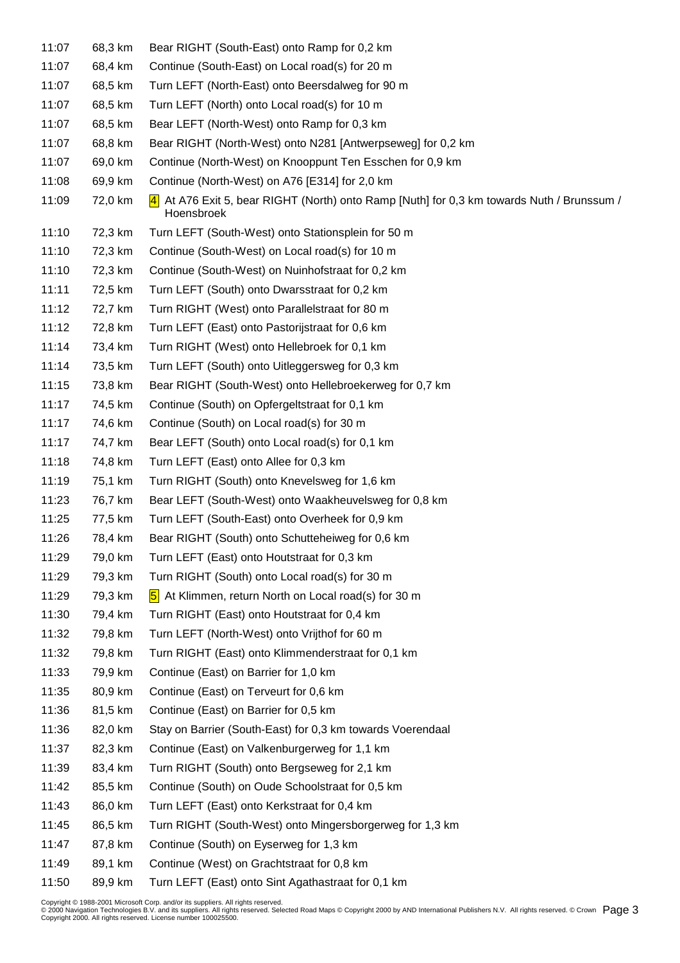| 11:07 | 68,3 km | Bear RIGHT (South-East) onto Ramp for 0,2 km                                                            |
|-------|---------|---------------------------------------------------------------------------------------------------------|
| 11:07 | 68,4 km | Continue (South-East) on Local road(s) for 20 m                                                         |
| 11:07 | 68,5 km | Turn LEFT (North-East) onto Beersdalweg for 90 m                                                        |
| 11:07 | 68,5 km | Turn LEFT (North) onto Local road(s) for 10 m                                                           |
| 11:07 | 68,5 km | Bear LEFT (North-West) onto Ramp for 0,3 km                                                             |
| 11:07 | 68,8 km | Bear RIGHT (North-West) onto N281 [Antwerpseweg] for 0,2 km                                             |
| 11:07 | 69,0 km | Continue (North-West) on Knooppunt Ten Esschen for 0,9 km                                               |
| 11:08 | 69,9 km | Continue (North-West) on A76 [E314] for 2,0 km                                                          |
| 11:09 | 72,0 km | 4 At A76 Exit 5, bear RIGHT (North) onto Ramp [Nuth] for 0,3 km towards Nuth / Brunssum /<br>Hoensbroek |
| 11:10 | 72,3 km | Turn LEFT (South-West) onto Stationsplein for 50 m                                                      |
| 11:10 | 72,3 km | Continue (South-West) on Local road(s) for 10 m                                                         |
| 11:10 | 72,3 km | Continue (South-West) on Nuinhofstraat for 0,2 km                                                       |
| 11:11 | 72,5 km | Turn LEFT (South) onto Dwarsstraat for 0,2 km                                                           |
| 11:12 | 72,7 km | Turn RIGHT (West) onto Parallelstraat for 80 m                                                          |
| 11:12 | 72,8 km | Turn LEFT (East) onto Pastorijstraat for 0,6 km                                                         |
| 11:14 | 73,4 km | Turn RIGHT (West) onto Hellebroek for 0,1 km                                                            |
| 11:14 | 73,5 km | Turn LEFT (South) onto Uitleggersweg for 0,3 km                                                         |
| 11:15 | 73,8 km | Bear RIGHT (South-West) onto Hellebroekerweg for 0,7 km                                                 |
| 11:17 | 74,5 km | Continue (South) on Opfergeltstraat for 0,1 km                                                          |
| 11:17 | 74,6 km | Continue (South) on Local road(s) for 30 m                                                              |
| 11:17 | 74,7 km | Bear LEFT (South) onto Local road(s) for 0,1 km                                                         |
| 11:18 | 74,8 km | Turn LEFT (East) onto Allee for 0,3 km                                                                  |
| 11:19 | 75,1 km | Turn RIGHT (South) onto Knevelsweg for 1,6 km                                                           |
| 11:23 | 76,7 km | Bear LEFT (South-West) onto Waakheuvelsweg for 0,8 km                                                   |
| 11:25 | 77,5 km | Turn LEFT (South-East) onto Overheek for 0,9 km                                                         |
| 11:26 | 78,4 km | Bear RIGHT (South) onto Schutteheiweg for 0,6 km                                                        |
| 11:29 | 79,0 km | Turn LEFT (East) onto Houtstraat for 0,3 km                                                             |
| 11:29 | 79,3 km | Turn RIGHT (South) onto Local road(s) for 30 m                                                          |
| 11:29 | 79,3 km | 5 At Klimmen, return North on Local road(s) for 30 m                                                    |
| 11:30 | 79,4 km | Turn RIGHT (East) onto Houtstraat for 0,4 km                                                            |
| 11:32 | 79,8 km | Turn LEFT (North-West) onto Vrijthof for 60 m                                                           |
| 11:32 | 79,8 km | Turn RIGHT (East) onto Klimmenderstraat for 0,1 km                                                      |
| 11:33 | 79,9 km | Continue (East) on Barrier for 1,0 km                                                                   |
| 11:35 | 80,9 km | Continue (East) on Terveurt for 0,6 km                                                                  |
| 11:36 | 81,5 km | Continue (East) on Barrier for 0,5 km                                                                   |
| 11:36 | 82,0 km | Stay on Barrier (South-East) for 0,3 km towards Voerendaal                                              |
| 11:37 | 82,3 km | Continue (East) on Valkenburgerweg for 1,1 km                                                           |
| 11:39 | 83,4 km | Turn RIGHT (South) onto Bergseweg for 2,1 km                                                            |
| 11:42 | 85,5 km | Continue (South) on Oude Schoolstraat for 0,5 km                                                        |
| 11:43 | 86,0 km | Turn LEFT (East) onto Kerkstraat for 0,4 km                                                             |
| 11:45 | 86,5 km | Turn RIGHT (South-West) onto Mingersborgerweg for 1,3 km                                                |
| 11:47 | 87,8 km | Continue (South) on Eyserweg for 1,3 km                                                                 |
| 11:49 | 89,1 km | Continue (West) on Grachtstraat for 0,8 km                                                              |
|       |         |                                                                                                         |

11:50 89,9 km Turn LEFT (East) onto Sint Agathastraat for 0,1 km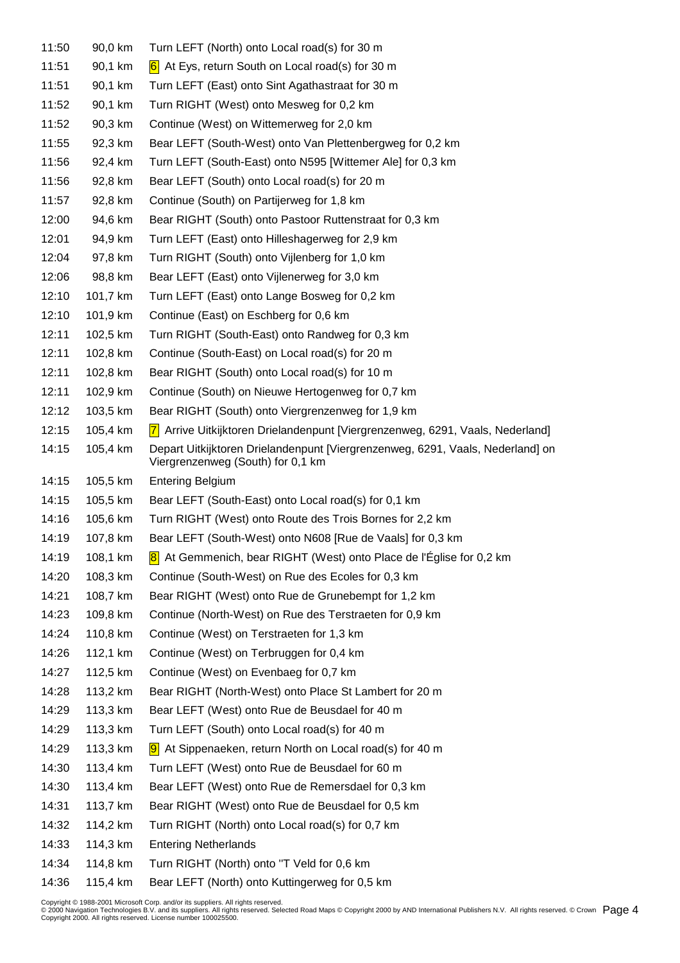| 11:50 | 90,0 km  | Turn LEFT (North) onto Local road(s) for 30 m                                                                       |
|-------|----------|---------------------------------------------------------------------------------------------------------------------|
| 11:51 | 90,1 km  | $\overline{6}$ At Eys, return South on Local road(s) for 30 m                                                       |
| 11:51 | 90,1 km  | Turn LEFT (East) onto Sint Agathastraat for 30 m                                                                    |
| 11:52 | 90,1 km  | Turn RIGHT (West) onto Mesweg for 0,2 km                                                                            |
| 11:52 | 90,3 km  | Continue (West) on Wittemerweg for 2,0 km                                                                           |
| 11:55 | 92,3 km  | Bear LEFT (South-West) onto Van Plettenbergweg for 0,2 km                                                           |
| 11:56 | 92,4 km  | Turn LEFT (South-East) onto N595 [Wittemer Ale] for 0,3 km                                                          |
| 11:56 | 92,8 km  | Bear LEFT (South) onto Local road(s) for 20 m                                                                       |
| 11:57 | 92,8 km  | Continue (South) on Partijerweg for 1,8 km                                                                          |
| 12:00 | 94,6 km  | Bear RIGHT (South) onto Pastoor Ruttenstraat for 0,3 km                                                             |
| 12:01 | 94,9 km  | Turn LEFT (East) onto Hilleshagerweg for 2,9 km                                                                     |
| 12:04 | 97,8 km  | Turn RIGHT (South) onto Vijlenberg for 1,0 km                                                                       |
| 12:06 | 98,8 km  | Bear LEFT (East) onto Vijlenerweg for 3,0 km                                                                        |
| 12:10 | 101,7 km | Turn LEFT (East) onto Lange Bosweg for 0,2 km                                                                       |
| 12:10 | 101,9 km | Continue (East) on Eschberg for 0,6 km                                                                              |
| 12:11 | 102,5 km | Turn RIGHT (South-East) onto Randweg for 0,3 km                                                                     |
| 12:11 | 102,8 km | Continue (South-East) on Local road(s) for 20 m                                                                     |
| 12:11 | 102,8 km | Bear RIGHT (South) onto Local road(s) for 10 m                                                                      |
| 12:11 | 102,9 km | Continue (South) on Nieuwe Hertogenweg for 0,7 km                                                                   |
| 12:12 | 103,5 km | Bear RIGHT (South) onto Viergrenzenweg for 1,9 km                                                                   |
| 12:15 | 105,4 km | 7 Arrive Uitkijktoren Drielandenpunt [Viergrenzenweg, 6291, Vaals, Nederland]                                       |
| 14:15 | 105,4 km | Depart Uitkijktoren Drielandenpunt [Viergrenzenweg, 6291, Vaals, Nederland] on<br>Viergrenzenweg (South) for 0,1 km |
| 14:15 | 105,5 km | <b>Entering Belgium</b>                                                                                             |
| 14:15 | 105,5 km | Bear LEFT (South-East) onto Local road(s) for 0,1 km                                                                |
| 14:16 | 105,6 km | Turn RIGHT (West) onto Route des Trois Bornes for 2,2 km                                                            |
| 14:19 | 107,8 km | Bear LEFT (South-West) onto N608 [Rue de Vaals] for 0,3 km                                                          |
| 14:19 | 108,1 km | 8 At Gemmenich, bear RIGHT (West) onto Place de l'Église for 0,2 km                                                 |
| 14:20 | 108,3 km | Continue (South-West) on Rue des Ecoles for 0,3 km                                                                  |
| 14:21 | 108,7 km | Bear RIGHT (West) onto Rue de Grunebempt for 1,2 km                                                                 |
| 14:23 | 109,8 km | Continue (North-West) on Rue des Terstraeten for 0,9 km                                                             |
| 14:24 | 110,8 km | Continue (West) on Terstraeten for 1,3 km                                                                           |
| 14:26 | 112,1 km | Continue (West) on Terbruggen for 0,4 km                                                                            |
| 14:27 | 112,5 km | Continue (West) on Evenbaeg for 0,7 km                                                                              |
| 14:28 | 113,2 km | Bear RIGHT (North-West) onto Place St Lambert for 20 m                                                              |
| 14:29 | 113,3 km | Bear LEFT (West) onto Rue de Beusdael for 40 m                                                                      |
| 14:29 | 113,3 km | Turn LEFT (South) onto Local road(s) for 40 m                                                                       |
| 14:29 | 113,3 km | 9 At Sippenaeken, return North on Local road(s) for 40 m                                                            |
| 14:30 | 113,4 km | Turn LEFT (West) onto Rue de Beusdael for 60 m                                                                      |
| 14:30 | 113,4 km | Bear LEFT (West) onto Rue de Remersdael for 0,3 km                                                                  |
| 14:31 | 113,7 km | Bear RIGHT (West) onto Rue de Beusdael for 0,5 km                                                                   |
| 14:32 | 114,2 km | Turn RIGHT (North) onto Local road(s) for 0,7 km                                                                    |
| 14:33 | 114,3 km | <b>Entering Netherlands</b>                                                                                         |
| 14:34 | 114,8 km | Turn RIGHT (North) onto "T Veld for 0,6 km                                                                          |
|       |          | $\overline{AB}$ and $\overline{A}$ and $\overline{B}$                                                               |

14:36 115,4 km Bear LEFT (North) onto Kuttingerweg for 0,5 km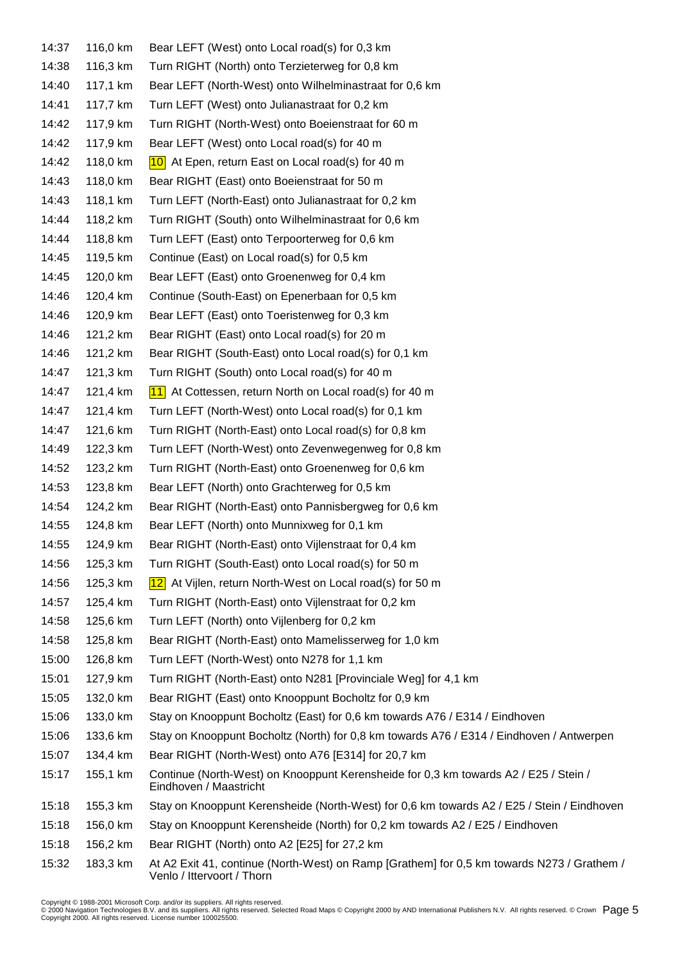| 14:37 | 116,0 km | Bear LEFT (West) onto Local road(s) for 0,3 km                                                                           |
|-------|----------|--------------------------------------------------------------------------------------------------------------------------|
| 14:38 | 116,3 km | Turn RIGHT (North) onto Terzieterweg for 0,8 km                                                                          |
| 14:40 | 117,1 km | Bear LEFT (North-West) onto Wilhelminastraat for 0,6 km                                                                  |
| 14:41 | 117,7 km | Turn LEFT (West) onto Julianastraat for 0,2 km                                                                           |
| 14:42 | 117,9 km | Turn RIGHT (North-West) onto Boeienstraat for 60 m                                                                       |
| 14:42 | 117,9 km | Bear LEFT (West) onto Local road(s) for 40 m                                                                             |
| 14:42 | 118,0 km | $10$ At Epen, return East on Local road(s) for 40 m                                                                      |
| 14:43 | 118,0 km | Bear RIGHT (East) onto Boeienstraat for 50 m                                                                             |
| 14:43 | 118,1 km | Turn LEFT (North-East) onto Julianastraat for 0,2 km                                                                     |
| 14:44 | 118,2 km | Turn RIGHT (South) onto Wilhelminastraat for 0,6 km                                                                      |
| 14:44 | 118,8 km | Turn LEFT (East) onto Terpoorterweg for 0,6 km                                                                           |
| 14:45 | 119,5 km | Continue (East) on Local road(s) for 0,5 km                                                                              |
| 14:45 | 120,0 km | Bear LEFT (East) onto Groenenweg for 0,4 km                                                                              |
| 14:46 | 120,4 km | Continue (South-East) on Epenerbaan for 0,5 km                                                                           |
| 14:46 | 120,9 km | Bear LEFT (East) onto Toeristenweg for 0,3 km                                                                            |
| 14:46 | 121,2 km | Bear RIGHT (East) onto Local road(s) for 20 m                                                                            |
| 14:46 | 121,2 km | Bear RIGHT (South-East) onto Local road(s) for 0,1 km                                                                    |
| 14:47 | 121,3 km | Turn RIGHT (South) onto Local road(s) for 40 m                                                                           |
| 14:47 | 121,4 km | 11 At Cottessen, return North on Local road(s) for 40 m                                                                  |
| 14:47 | 121,4 km | Turn LEFT (North-West) onto Local road(s) for 0,1 km                                                                     |
| 14:47 | 121,6 km | Turn RIGHT (North-East) onto Local road(s) for 0,8 km                                                                    |
| 14:49 | 122,3 km | Turn LEFT (North-West) onto Zevenwegenweg for 0,8 km                                                                     |
| 14:52 | 123,2 km | Turn RIGHT (North-East) onto Groenenweg for 0,6 km                                                                       |
| 14:53 | 123,8 km | Bear LEFT (North) onto Grachterweg for 0,5 km                                                                            |
| 14:54 | 124,2 km | Bear RIGHT (North-East) onto Pannisbergweg for 0,6 km                                                                    |
| 14:55 | 124,8 km | Bear LEFT (North) onto Munnixweg for 0,1 km                                                                              |
| 14:55 | 124,9 km | Bear RIGHT (North-East) onto Vijlenstraat for 0,4 km                                                                     |
| 14:56 | 125,3 km | Turn RIGHT (South-East) onto Local road(s) for 50 m                                                                      |
| 14:56 | 125,3 km | 12 At Vijlen, return North-West on Local road(s) for 50 m                                                                |
| 14:57 | 125,4 km | Turn RIGHT (North-East) onto Vijlenstraat for 0,2 km                                                                     |
| 14:58 | 125,6 km | Turn LEFT (North) onto Vijlenberg for 0,2 km                                                                             |
| 14:58 | 125,8 km | Bear RIGHT (North-East) onto Mamelisserweg for 1,0 km                                                                    |
| 15:00 | 126,8 km | Turn LEFT (North-West) onto N278 for 1,1 km                                                                              |
| 15:01 | 127,9 km | Turn RIGHT (North-East) onto N281 [Provinciale Weg] for 4,1 km                                                           |
| 15:05 | 132,0 km | Bear RIGHT (East) onto Knooppunt Bocholtz for 0,9 km                                                                     |
| 15:06 | 133,0 km | Stay on Knooppunt Bocholtz (East) for 0,6 km towards A76 / E314 / Eindhoven                                              |
| 15:06 | 133,6 km | Stay on Knooppunt Bocholtz (North) for 0,8 km towards A76 / E314 / Eindhoven / Antwerpen                                 |
| 15:07 | 134,4 km | Bear RIGHT (North-West) onto A76 [E314] for 20,7 km                                                                      |
| 15:17 | 155,1 km | Continue (North-West) on Knooppunt Kerensheide for 0,3 km towards A2 / E25 / Stein /<br>Eindhoven / Maastricht           |
| 15:18 | 155,3 km | Stay on Knooppunt Kerensheide (North-West) for 0,6 km towards A2 / E25 / Stein / Eindhoven                               |
| 15:18 | 156,0 km | Stay on Knooppunt Kerensheide (North) for 0,2 km towards A2 / E25 / Eindhoven                                            |
| 15:18 | 156,2 km | Bear RIGHT (North) onto A2 [E25] for 27,2 km                                                                             |
| 15:32 | 183,3 km | At A2 Exit 41, continue (North-West) on Ramp [Grathem] for 0,5 km towards N273 / Grathem /<br>Venlo / Ittervoort / Thorn |

Copyright © 1988-2001 Microsoft Corp. and/or its suppliers. All rights reserved.<br>© 2000 Navigation Technologies B.V. and its suppliers. All rights reserved. Selected Road Maps © Copyright 2000 by AND International Publish